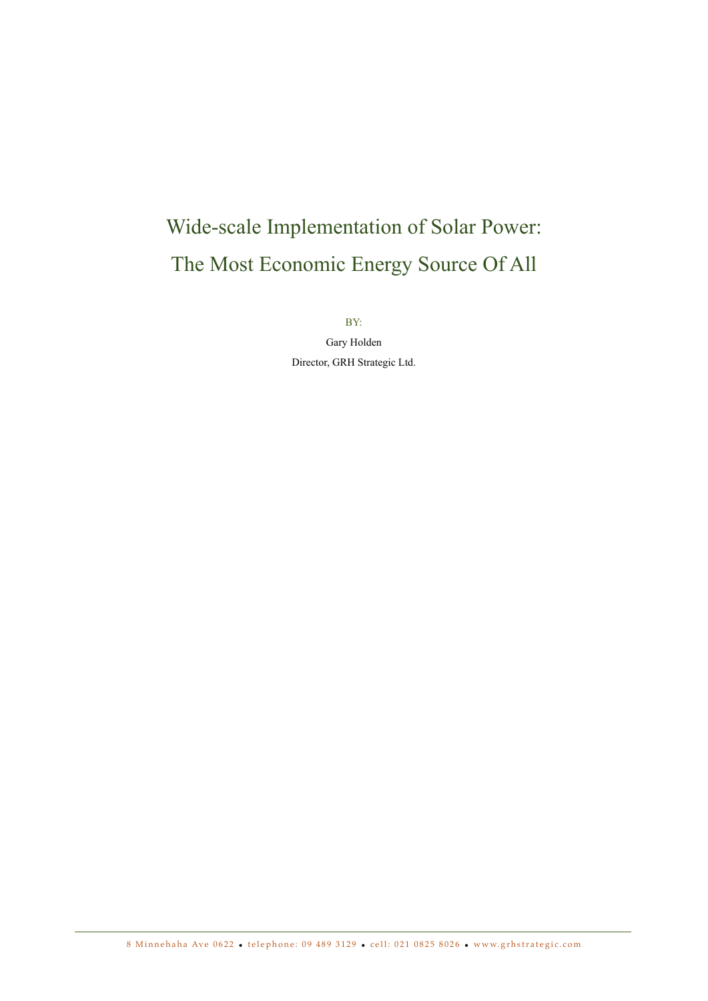# Wide-scale Implementation of Solar Power: The Most Economic Energy Source Of All

BY:

Gary Holden Director, GRH Strategic Ltd.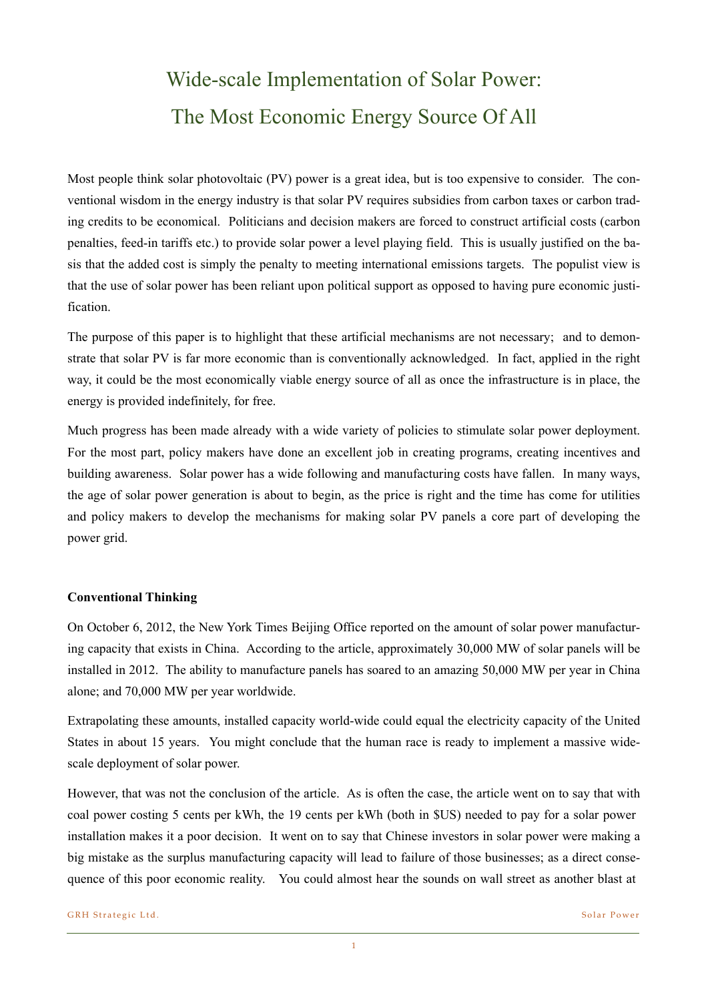## Wide-scale Implementation of Solar Power: The Most Economic Energy Source Of All

Most people think solar photovoltaic (PV) power is a great idea, but is too expensive to consider. The conventional wisdom in the energy industry is that solar PV requires subsidies from carbon taxes or carbon trading credits to be economical. Politicians and decision makers are forced to construct artificial costs (carbon penalties, feed-in tariffs etc.) to provide solar power a level playing field. This is usually justified on the basis that the added cost is simply the penalty to meeting international emissions targets. The populist view is that the use of solar power has been reliant upon political support as opposed to having pure economic justification.

The purpose of this paper is to highlight that these artificial mechanisms are not necessary; and to demonstrate that solar PV is far more economic than is conventionally acknowledged. In fact, applied in the right way, it could be the most economically viable energy source of all as once the infrastructure is in place, the energy is provided indefinitely, for free.

Much progress has been made already with a wide variety of policies to stimulate solar power deployment. For the most part, policy makers have done an excellent job in creating programs, creating incentives and building awareness. Solar power has a wide following and manufacturing costs have fallen. In many ways, the age of solar power generation is about to begin, as the price is right and the time has come for utilities and policy makers to develop the mechanisms for making solar PV panels a core part of developing the power grid.

## **Conventional Thinking**

On October 6, 2012, the New York Times Beijing Office reported on the amount of solar power manufacturing capacity that exists in China. According to the article, approximately 30,000 MW of solar panels will be installed in 2012. The ability to manufacture panels has soared to an amazing 50,000 MW per year in China alone; and 70,000 MW per year worldwide.

Extrapolating these amounts, installed capacity world-wide could equal the electricity capacity of the United States in about 15 years. You might conclude that the human race is ready to implement a massive widescale deployment of solar power.

However, that was not the conclusion of the article. As is often the case, the article went on to say that with coal power costing 5 cents per kWh, the 19 cents per kWh (both in \$US) needed to pay for a solar power installation makes it a poor decision. It went on to say that Chinese investors in solar power were making a big mistake as the surplus manufacturing capacity will lead to failure of those businesses; as a direct consequence of this poor economic reality. You could almost hear the sounds on wall street as another blast at

GRH Strategic Ltd. Solar Power Solar Power Solar Power Solar Power Solar Power Solar Power Solar Power Solar Power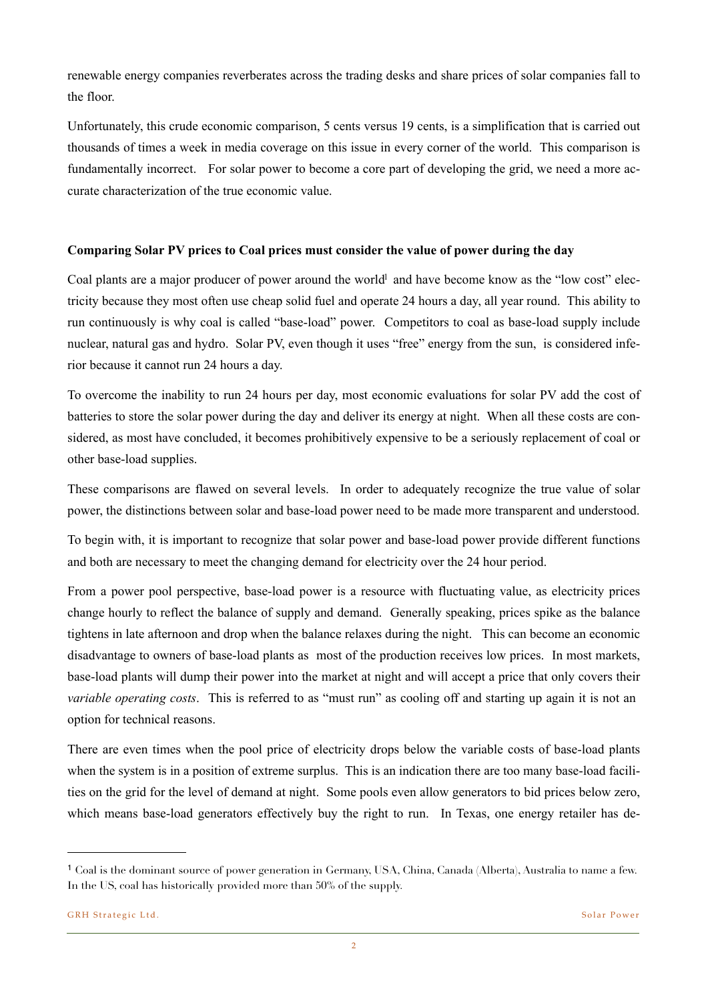renewable energy companies reverberates across the trading desks and share prices of solar companies fall to the floor.

Unfortunately, this crude economic comparison, 5 cents versus 19 cents, is a simplification that is carried out thousands of times a week in media coverage on this issue in every corner of the world. This comparison is fundamentally incorrect. For solar power to become a core part of developing the grid, we need a more accurate characterization of the true economic value.

## **Comparing Solar PV prices to Coal prices must consider the value of power during the day**

Coal plants are a major producer of power around the world<sup>1</sup> and have become know as the "low cost" electricity because they most often use cheap solid fuel and operate 24 hours a day, all year round. This ability to run continuously is why coal is called "base-load" power. Competitors to coal as base-load supply include nuclear, natural gas and hydro. Solar PV, even though it uses "free" energy from the sun, is considered inferior because it cannot run 24 hours a day.

To overcome the inability to run 24 hours per day, most economic evaluations for solar PV add the cost of batteries to store the solar power during the day and deliver its energy at night. When all these costs are considered, as most have concluded, it becomes prohibitively expensive to be a seriously replacement of coal or other base-load supplies.

These comparisons are flawed on several levels. In order to adequately recognize the true value of solar power, the distinctions between solar and base-load power need to be made more transparent and understood.

To begin with, it is important to recognize that solar power and base-load power provide different functions and both are necessary to meet the changing demand for electricity over the 24 hour period.

From a power pool perspective, base-load power is a resource with fluctuating value, as electricity prices change hourly to reflect the balance of supply and demand. Generally speaking, prices spike as the balance tightens in late afternoon and drop when the balance relaxes during the night. This can become an economic disadvantage to owners of base-load plants as most of the production receives low prices. In most markets, base-load plants will dump their power into the market at night and will accept a price that only covers their *variable operating costs*. This is referred to as "must run" as cooling off and starting up again it is not an option for technical reasons.

There are even times when the pool price of electricity drops below the variable costs of base-load plants when the system is in a position of extreme surplus. This is an indication there are too many base-load facilities on the grid for the level of demand at night. Some pools even allow generators to bid prices below zero, which means base-load generators effectively buy the right to run. In Texas, one energy retailer has de-

<span id="page-2-0"></span><sup>1</sup> Coal is the dominant source of power generation in Germany, USA, China, Canada (Alberta), Australia to name a few. In the US, coal has historically provided more than 50% of the supply.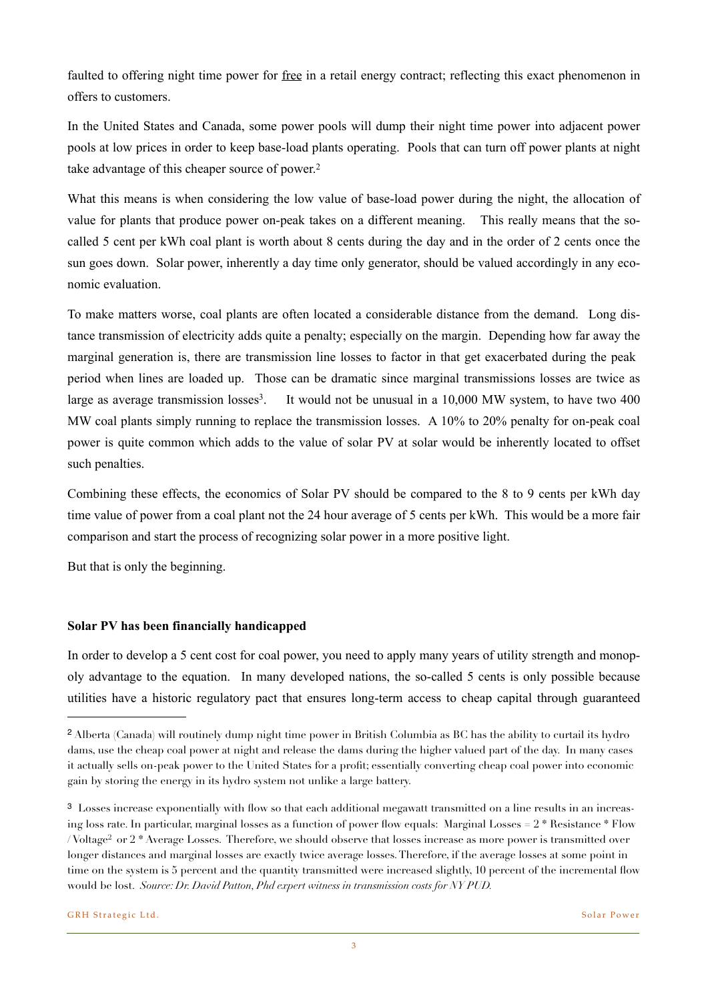faulted to offering night time power for free in a retail energy contract; reflecting this exact phenomenon in offers to customers.

In the United States and Canada, some power pools will dump their night time power into adjacent power pools at low prices in order to keep base-load plants operating. Pools that can turn off power plants at night take advantage of this cheaper source of power.<sup>[2](#page-3-0)</sup>

What this means is when considering the low value of base-load power during the night, the allocation of value for plants that produce power on-peak takes on a different meaning. This really means that the socalled 5 cent per kWh coal plant is worth about 8 cents during the day and in the order of 2 cents once the sun goes down. Solar power, inherently a day time only generator, should be valued accordingly in any economic evaluation.

To make matters worse, coal plants are often located a considerable distance from the demand. Long distance transmission of electricity adds quite a penalty; especially on the margin. Depending how far away the marginal generation is, there are transmission line losses to factor in that get exacerbated during the peak period when lines are loaded up. Those can be dramatic since marginal transmissions losses are twice as large as average transmission losses<sup>3</sup>. It would not be unusual in a 10,000 MW system, to have two 400 MW coal plants simply running to replace the transmission losses. A 10% to 20% penalty for on-peak coal power is quite common which adds to the value of solar PV at solar would be inherently located to offset such penalties.

Combining these effects, the economics of Solar PV should be compared to the 8 to 9 cents per kWh day time value of power from a coal plant not the 24 hour average of 5 cents per kWh. This would be a more fair comparison and start the process of recognizing solar power in a more positive light.

But that is only the beginning.

## **Solar PV has been financially handicapped**

In order to develop a 5 cent cost for coal power, you need to apply many years of utility strength and monopoly advantage to the equation. In many developed nations, the so-called 5 cents is only possible because utilities have a historic regulatory pact that ensures long-term access to cheap capital through guaranteed

<span id="page-3-0"></span><sup>2</sup> Alberta (Canada) will routinely dump night time power in British Columbia as BC has the ability to curtail its hydro dams, use the cheap coal power at night and release the dams during the higher valued part of the day. In many cases it actually sells on-peak power to the United States for a profit; essentially converting cheap coal power into economic gain by storing the energy in its hydro system not unlike a large battery.

<span id="page-3-1"></span><sup>3</sup> Losses increase exponentially with flow so that each additional megawatt transmitted on a line results in an increasing loss rate. In particular, marginal losses as a function of power flow equals: Marginal Losses  $= 2 *$  Resistance  $*$  Flow / Voltage<sup>2</sup> or  $2 *$  Average Losses. Therefore, we should observe that losses increase as more power is transmitted over longer distances and marginal losses are exactly twice average losses. Therefore, if the average losses at some point in time on the system is 5 percent and the quantity transmitted were increased slightly, 10 percent of the incremental flow would be lost. *Source: Dr. David Patton, Phd expert witness in transmission costs for NY PUD.*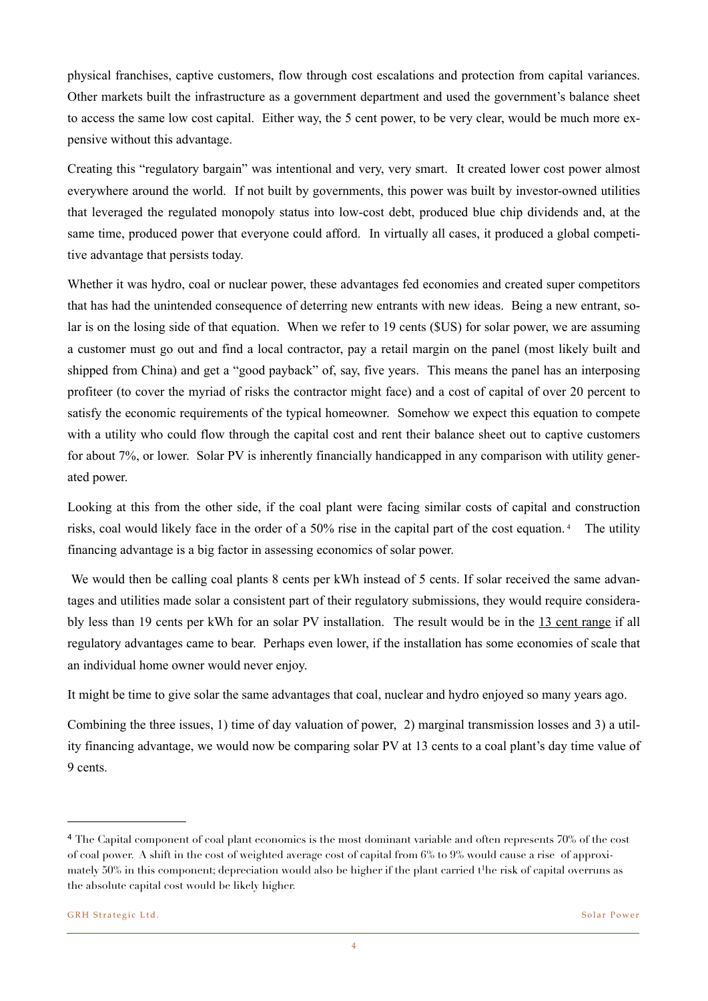physical franchises, captive customers, flow through cost escalations and protection from capital variances. Other markets built the infrastructure as a government department and used the government's balance sheet to access the same low cost capital. Either way, the 5 cent power, to be very clear, would be much more expensive without this advantage.

Creating this "regulatory bargain" was intentional and very, very smart. It created lower cost power almost everywhere around the world. If not built by governments, this power was built by investor-owned utilities that leveraged the regulated monopoly status into low-cost debt, produced blue chip dividends and, at the same time, produced power that everyone could afford. In virtually all cases, it produced a global competitive advantage that persists today.

Whether it was hydro, coal or nuclear power, these advantages fed economies and created super competitors that has had the unintended consequence of deterring new entrants with new ideas. Being a new entrant, solar is on the losing side of that equation. When we refer to 19 cents (\$US) for solar power, we are assuming a customer must go out and find a local contractor, pay a retail margin on the panel (most likely built and shipped from China) and get a "good payback" of, say, five years. This means the panel has an interposing profiteer (to cover the myriad of risks the contractor might face) and a cost of capital of over 20 percent to satisfy the economic requirements of the typical homeowner. Somehow we expect this equation to compete with a utility who could flow through the capital cost and rent their balance sheet out to captive customers for about 7%, or lower. Solar PV is inherently financially handicapped in any comparison with utility generated power.

Looking at this from the other side, if the coal plant were facing similar costs of capital and construction risks, coal would likely face in the order of a 50% rise in the capital part of the cost equation. [4](#page-4-0) The utility financing advantage is a big factor in assessing economics of solar power.

We would then be calling coal plants 8 cents per kWh instead of 5 cents. If solar received the same advantages and utilities made solar a consistent part of their regulatory submissions, they would require considerably less than 19 cents per kWh for an solar PV installation. The result would be in the 13 cent range if all regulatory advantages came to bear. Perhaps even lower, if the installation has some economies of scale that an individual home owner would never enjoy.

It might be time to give solar the same advantages that coal, nuclear and hydro enjoyed so many years ago.

Combining the three issues, 1) time of day valuation of power, 2) marginal transmission losses and 3) a utility financing advantage, we would now be comparing solar PV at 13 cents to a coal plant's day time value of 9 cents.

<span id="page-4-0"></span><sup>4</sup> The Capital component of coal plant economics is the most dominant variable and often represents 70% of the cost of coal power. A shift in the cost of weighted average cost of capital from 6% to 9% would cause a rise of approximately  $50\%$  in this component; depreciation would also be higher if the plant carried t<sup>1</sup>he risk of capital overruns as the absolute capital cost would be likely higher.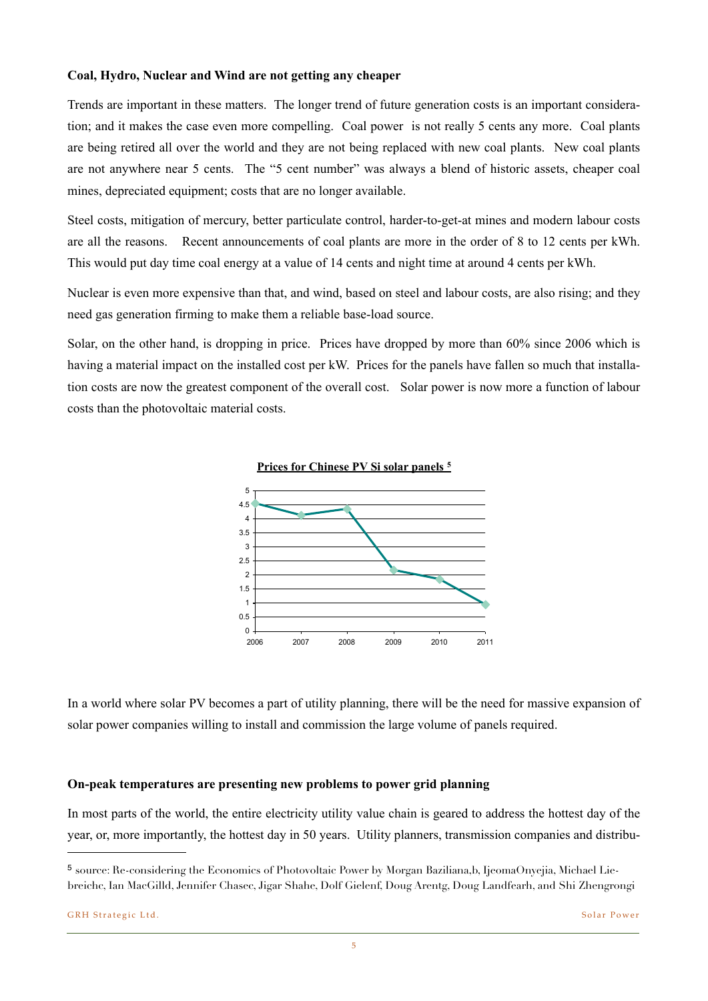## **Coal, Hydro, Nuclear and Wind are not getting any cheaper**

Trends are important in these matters. The longer trend of future generation costs is an important consideration; and it makes the case even more compelling. Coal power is not really 5 cents any more. Coal plants are being retired all over the world and they are not being replaced with new coal plants. New coal plants can support ('value-based prices prices prices prices prices prices prices prices  $\rho$ 

are not anywhere near 5 cents. The "5 cent number" was always a blend of historic assets, cheaper coal mines, depreciated equipment; costs that are no longer and  $\alpha$ Steel costs, mitigation of mercu<sub>10</sub> are all the reasons. Recent and  $\overline{a}$  Recent are more in the order of 8 to 12 cents per kWh. This would put day time coal erergy at a value of  $\frac{2000}{4}$  cents per kWh.  $2011$ Nuclear is even more expensive  $\Box$  and  $\Box$  are also rising; and they need gas generation firming to  $r_{0.1}$   $\frac{1}{1 \cdot 10^{10}}$   $\frac{1000}{1000}$   $\frac{1000}{1000}$ 100,000  $1.000.000$  $\bullet$  historic pric - eim  $\bullet$  First Sola

Solar, on the other hand, is dropping in price. Prices have dropped by more than 60% since 2006 which is having a material impact on the installed cost per kW. Prices for the panels have fallen so much that installation costs are now the greatest component of the overall cost. Solar power is now more a function of labour costs than the photovoltaic material costs.  $\frac{1}{2}$  since 2008 (Figure 2). Historical costs had a share of around 60% of  $\frac{1}{2}$  systems of the total PV system  $\frac{1}{2}$  $\alpha_{\text{max}}$  et al., 2011), but due to the extraordinary decline in module prices since 2008, its extraordinary decline prices since 2008, its extraordinary decline prices since 2008, its extraordinary decline prices since





In a world where solar PV becomes a part of utility planning, there will be the need for massive expansion of solar power companies willing to install and commission the large volume of panels required.

#### **On-peak temperatures are presenting new problems to power grid planning**

In most parts of the world, the entire electricity utility value chain is geared to address the hottest day of the year, or, more importantly, the hottest day in 50 years. Utility planners, transmission companies and distribu-

5

<span id="page-5-0"></span><sup>5</sup> source: Re-considering the Economics of Photovoltaic Power by Morgan Baziliana,b, IjeomaOnyejia, Michael Liebreichc, Ian MacGilld, Jennifer Chasec, Jigar Shahe, Dolf Gielenf, Doug Arentg, Doug Landfearh, and Shi Zhengrongi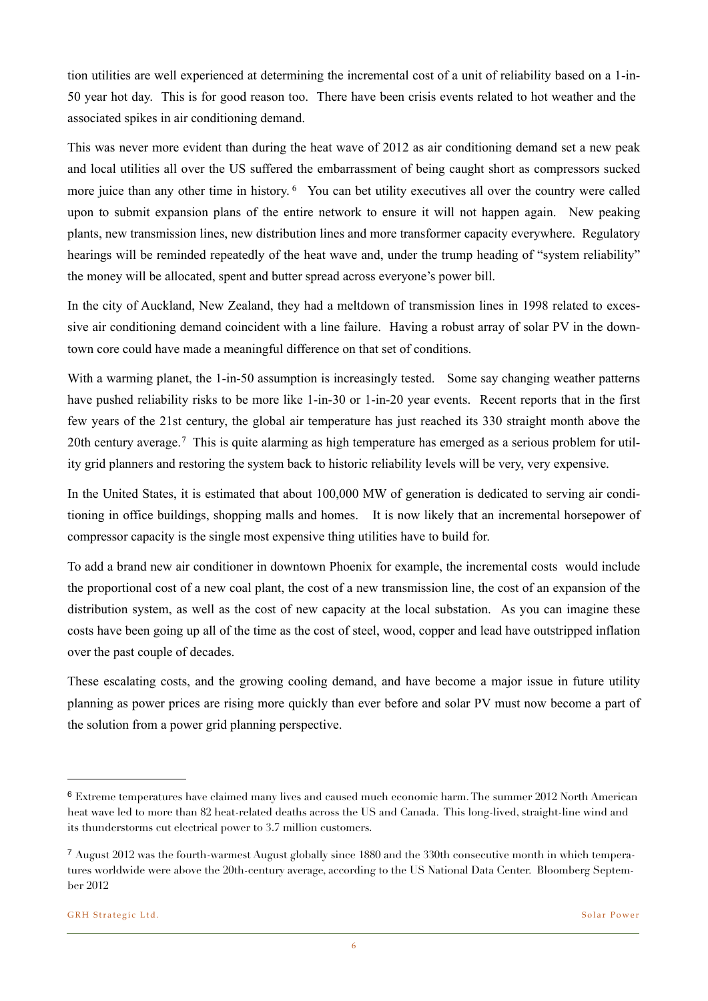tion utilities are well experienced at determining the incremental cost of a unit of reliability based on a 1-in-50 year hot day. This is for good reason too. There have been crisis events related to hot weather and the associated spikes in air conditioning demand.

This was never more evident than during the heat wave of 2012 as air conditioning demand set a new peak and local utilities all over the US suffered the embarrassment of being caught short as compressors sucked more juice than any other time in history. <sup>6</sup> You can bet utility executives all over the country were called upon to submit expansion plans of the entire network to ensure it will not happen again. New peaking plants, new transmission lines, new distribution lines and more transformer capacity everywhere. Regulatory hearings will be reminded repeatedly of the heat wave and, under the trump heading of "system reliability" the money will be allocated, spent and butter spread across everyone's power bill.

In the city of Auckland, New Zealand, they had a meltdown of transmission lines in 1998 related to excessive air conditioning demand coincident with a line failure. Having a robust array of solar PV in the downtown core could have made a meaningful difference on that set of conditions.

With a warming planet, the 1-in-50 assumption is increasingly tested. Some say changing weather patterns have pushed reliability risks to be more like 1-in-30 or 1-in-20 year events. Recent reports that in the first few years of the 21st century, the global air temperature has just reached its 330 straight month above the 20th century average.<sup>[7](#page-6-1)</sup> This is quite alarming as high temperature has emerged as a serious problem for utility grid planners and restoring the system back to historic reliability levels will be very, very expensive.

In the United States, it is estimated that about 100,000 MW of generation is dedicated to serving air conditioning in office buildings, shopping malls and homes. It is now likely that an incremental horsepower of compressor capacity is the single most expensive thing utilities have to build for.

To add a brand new air conditioner in downtown Phoenix for example, the incremental costs would include the proportional cost of a new coal plant, the cost of a new transmission line, the cost of an expansion of the distribution system, as well as the cost of new capacity at the local substation. As you can imagine these costs have been going up all of the time as the cost of steel, wood, copper and lead have outstripped inflation over the past couple of decades.

These escalating costs, and the growing cooling demand, and have become a major issue in future utility planning as power prices are rising more quickly than ever before and solar PV must now become a part of the solution from a power grid planning perspective.

<span id="page-6-0"></span><sup>6</sup> Extreme temperatures have claimed many lives and caused much economic harm. The summer 2012 North American heat wave led to more than 82 heat-related deaths across the US and Canada. This long-lived, straight-line wind and its thunderstorms cut electrical power to 3.7 million customers.

<span id="page-6-1"></span><sup>7</sup> August 2012 was the fourth-warmest August globally since 1880 and the 330th consecutive month in which temperatures worldwide were above the 20th-century average, according to the US National Data Center. Bloomberg September 2012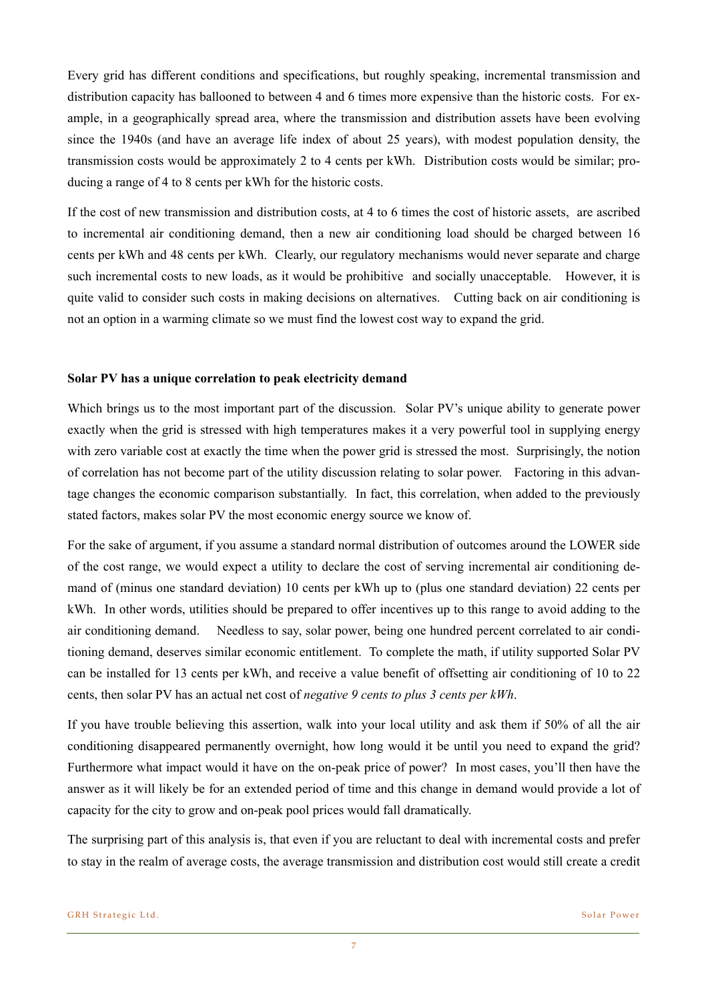Every grid has different conditions and specifications, but roughly speaking, incremental transmission and distribution capacity has ballooned to between 4 and 6 times more expensive than the historic costs. For example, in a geographically spread area, where the transmission and distribution assets have been evolving since the 1940s (and have an average life index of about 25 years), with modest population density, the transmission costs would be approximately 2 to 4 cents per kWh. Distribution costs would be similar; producing a range of 4 to 8 cents per kWh for the historic costs.

If the cost of new transmission and distribution costs, at 4 to 6 times the cost of historic assets, are ascribed to incremental air conditioning demand, then a new air conditioning load should be charged between 16 cents per kWh and 48 cents per kWh. Clearly, our regulatory mechanisms would never separate and charge such incremental costs to new loads, as it would be prohibitive and socially unacceptable. However, it is quite valid to consider such costs in making decisions on alternatives. Cutting back on air conditioning is not an option in a warming climate so we must find the lowest cost way to expand the grid.

### **Solar PV has a unique correlation to peak electricity demand**

Which brings us to the most important part of the discussion.Solar PV's unique ability to generate power exactly when the grid is stressed with high temperatures makes it a very powerful tool in supplying energy with zero variable cost at exactly the time when the power grid is stressed the most. Surprisingly, the notion of correlation has not become part of the utility discussion relating to solar power. Factoring in this advantage changes the economic comparison substantially. In fact, this correlation, when added to the previously stated factors, makes solar PV the most economic energy source we know of.

For the sake of argument, if you assume a standard normal distribution of outcomes around the LOWER side of the cost range, we would expect a utility to declare the cost of serving incremental air conditioning demand of (minus one standard deviation) 10 cents per kWh up to (plus one standard deviation) 22 cents per kWh. In other words, utilities should be prepared to offer incentives up to this range to avoid adding to the air conditioning demand. Needless to say, solar power, being one hundred percent correlated to air conditioning demand, deserves similar economic entitlement. To complete the math, if utility supported Solar PV can be installed for 13 cents per kWh, and receive a value benefit of offsetting air conditioning of 10 to 22 cents, then solar PV has an actual net cost of *negative 9 cents to plus 3 cents per kWh*.

If you have trouble believing this assertion, walk into your local utility and ask them if 50% of all the air conditioning disappeared permanently overnight, how long would it be until you need to expand the grid? Furthermore what impact would it have on the on-peak price of power? In most cases, you'll then have the answer as it will likely be for an extended period of time and this change in demand would provide a lot of capacity for the city to grow and on-peak pool prices would fall dramatically.

The surprising part of this analysis is, that even if you are reluctant to deal with incremental costs and prefer to stay in the realm of average costs, the average transmission and distribution cost would still create a credit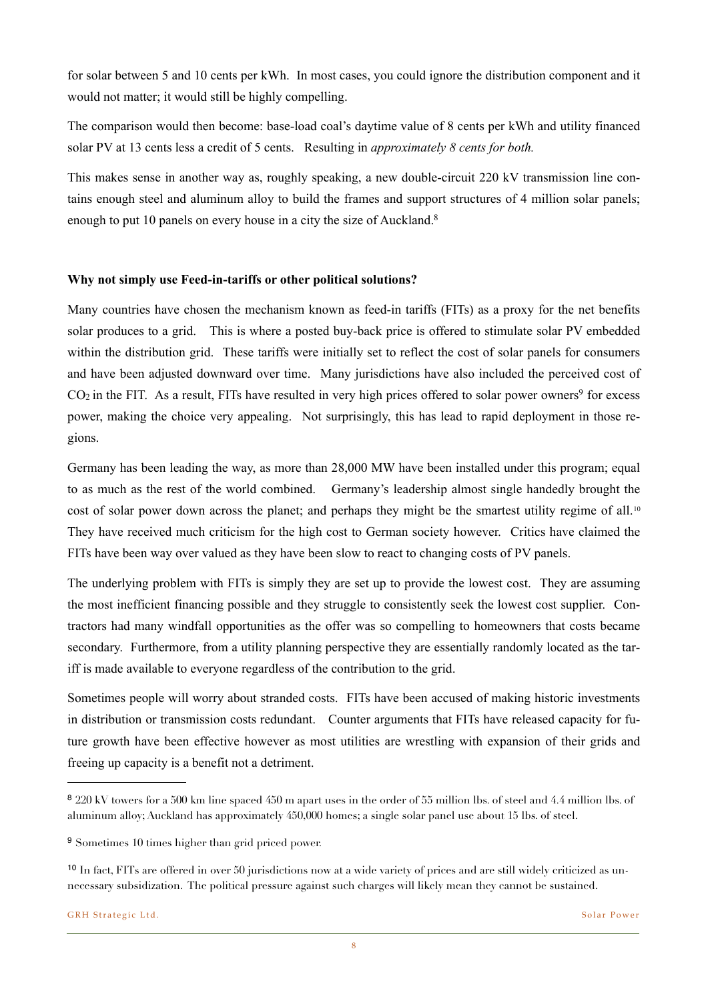for solar between 5 and 10 cents per kWh. In most cases, you could ignore the distribution component and it would not matter; it would still be highly compelling.

The comparison would then become: base-load coal's daytime value of 8 cents per kWh and utility financed solar PV at 13 cents less a credit of 5 cents. Resulting in *approximately 8 cents for both.* 

This makes sense in another way as, roughly speaking, a new double-circuit 220 kV transmission line contains enough steel and aluminum alloy to build the frames and support structures of 4 million solar panels; enough to put 10 panels on every house in a city the size of Auckland.<sup>8</sup>

## **Why not simply use Feed-in-tariffs or other political solutions?**

Many countries have chosen the mechanism known as feed-in tariffs (FITs) as a proxy for the net benefits solar produces to a grid. This is where a posted buy-back price is offered to stimulate solar PV embedded within the distribution grid. These tariffs were initially set to reflect the cost of solar panels for consumers and have been adjusted downward over time. Many jurisdictions have also included the perceived cost of  $CO<sub>2</sub>$  in the FIT. As a result, FITs have resulted in very high prices offered to solar power owners<sup>9</sup> for excess power, making the choice very appealing. Not surprisingly, this has lead to rapid deployment in those regions.

Germany has been leading the way, as more than 28,000 MW have been installed under this program; equal to as much as the rest of the world combined. Germany's leadership almost single handedly brought the cost of solar power down across the planet; and perhaps they might be the smartest utility regime of all.<sup>[10](#page-8-2)</sup> They have received much criticism for the high cost to German society however. Critics have claimed the FITs have been way over valued as they have been slow to react to changing costs of PV panels.

The underlying problem with FITs is simply they are set up to provide the lowest cost. They are assuming the most inefficient financing possible and they struggle to consistently seek the lowest cost supplier. Contractors had many windfall opportunities as the offer was so compelling to homeowners that costs became secondary. Furthermore, from a utility planning perspective they are essentially randomly located as the tariff is made available to everyone regardless of the contribution to the grid.

Sometimes people will worry about stranded costs. FITs have been accused of making historic investments in distribution or transmission costs redundant. Counter arguments that FITs have released capacity for future growth have been effective however as most utilities are wrestling with expansion of their grids and freeing up capacity is a benefit not a detriment.

<span id="page-8-0"></span><sup>8</sup> 220 kV towers for a 500 km line spaced 450 m apart uses in the order of 55 million lbs. of steel and 4.4 million lbs. of aluminum alloy; Auckland has approximately 450,000 homes; a single solar panel use about 15 lbs. of steel.

<span id="page-8-1"></span><sup>9</sup> Sometimes 10 times higher than grid priced power.

<span id="page-8-2"></span><sup>10</sup> In fact, FITs are offered in over 50 jurisdictions now at a wide variety of prices and are still widely criticized as unnecessary subsidization. The political pressure against such charges will likely mean they cannot be sustained.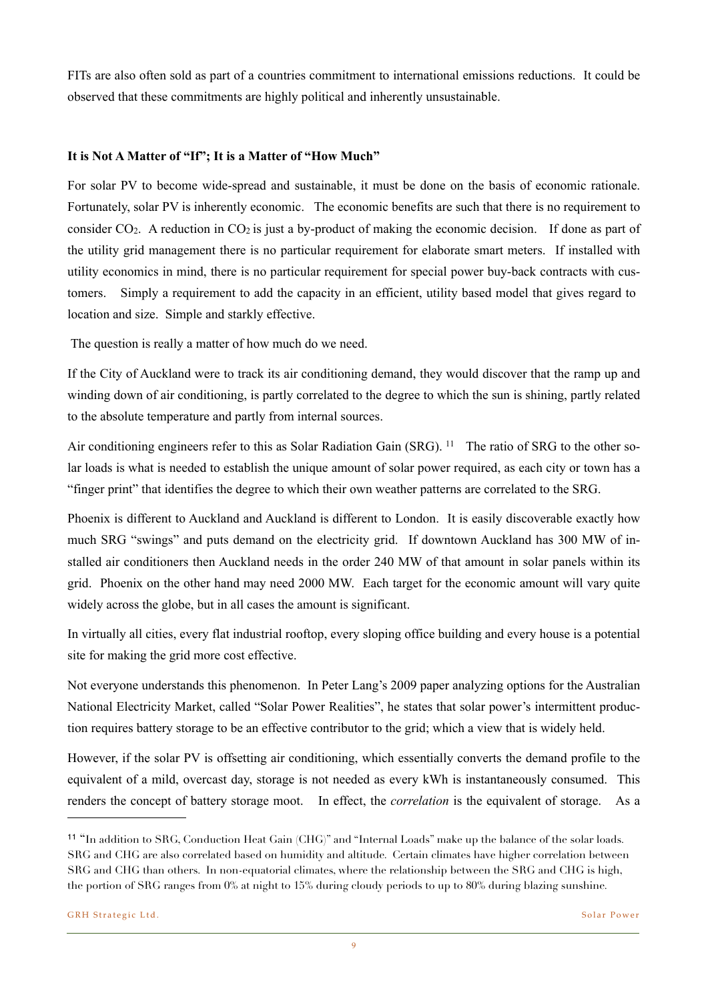FITs are also often sold as part of a countries commitment to international emissions reductions. It could be observed that these commitments are highly political and inherently unsustainable.

## **It is Not A Matter of "If"; It is a Matter of "How Much"**

For solar PV to become wide-spread and sustainable, it must be done on the basis of economic rationale. Fortunately, solar PV is inherently economic. The economic benefits are such that there is no requirement to consider  $CO<sub>2</sub>$ . A reduction in  $CO<sub>2</sub>$  is just a by-product of making the economic decision. If done as part of the utility grid management there is no particular requirement for elaborate smart meters. If installed with utility economics in mind, there is no particular requirement for special power buy-back contracts with customers. Simply a requirement to add the capacity in an efficient, utility based model that gives regard to location and size. Simple and starkly effective.

The question is really a matter of how much do we need.

If the City of Auckland were to track its air conditioning demand, they would discover that the ramp up and winding down of air conditioning, is partly correlated to the degree to which the sun is shining, partly related to the absolute temperature and partly from internal sources.

Air conditioning engineers refer to this as Solar Radiation Gain (SRG). <sup>11</sup> The ratio of SRG to the other solar loads is what is needed to establish the unique amount of solar power required, as each city or town has a "finger print" that identifies the degree to which their own weather patterns are correlated to the SRG.

Phoenix is different to Auckland and Auckland is different to London. It is easily discoverable exactly how much SRG "swings" and puts demand on the electricity grid. If downtown Auckland has 300 MW of installed air conditioners then Auckland needs in the order 240 MW of that amount in solar panels within its grid. Phoenix on the other hand may need 2000 MW. Each target for the economic amount will vary quite widely across the globe, but in all cases the amount is significant.

In virtually all cities, every flat industrial rooftop, every sloping office building and every house is a potential site for making the grid more cost effective.

Not everyone understands this phenomenon. In Peter Lang's 2009 paper analyzing options for the Australian National Electricity Market, called "Solar Power Realities", he states that solar power's intermittent production requires battery storage to be an effective contributor to the grid; which a view that is widely held.

However, if the solar PV is offsetting air conditioning, which essentially converts the demand profile to the equivalent of a mild, overcast day, storage is not needed as every kWh is instantaneously consumed. This renders the concept of battery storage moot. In effect, the *correlation* is the equivalent of storage. As a

<span id="page-9-0"></span><sup>11</sup> "In addition to SRG, Conduction Heat Gain (CHG)" and "Internal Loads" make up the balance of the solar loads. SRG and CHG are also correlated based on humidity and altitude. Certain climates have higher correlation between SRG and CHG than others. In non-equatorial climates, where the relationship between the SRG and CHG is high, the portion of SRG ranges from 0% at night to 15% during cloudy periods to up to 80% during blazing sunshine.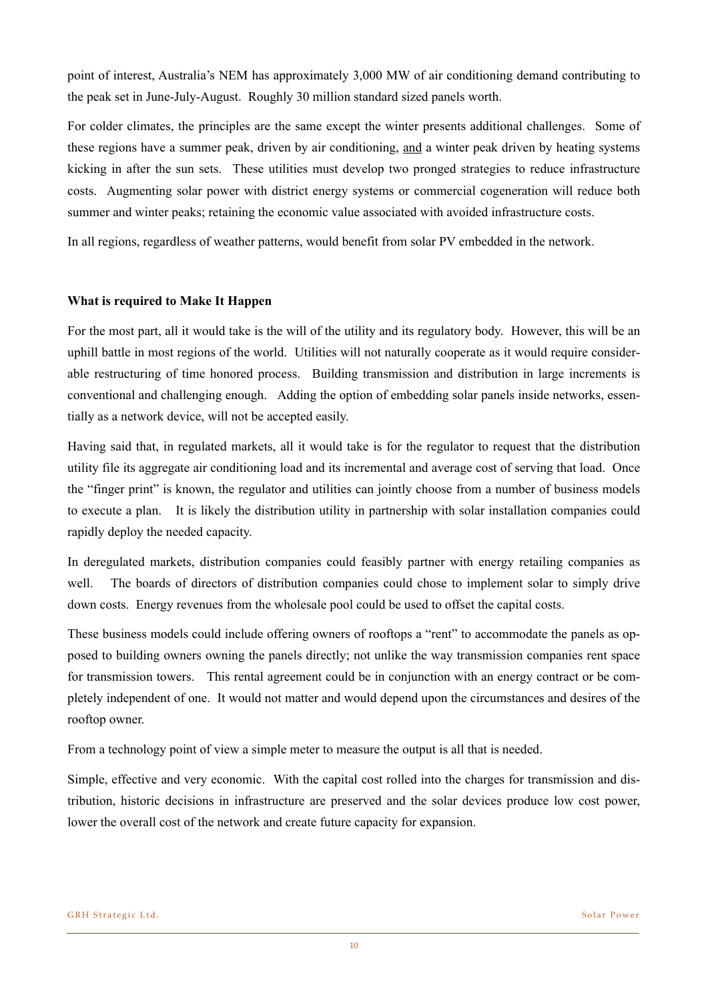point of interest, Australia's NEM has approximately 3,000 MW of air conditioning demand contributing to the peak set in June-July-August. Roughly 30 million standard sized panels worth.

For colder climates, the principles are the same except the winter presents additional challenges. Some of these regions have a summer peak, driven by air conditioning, and a winter peak driven by heating systems kicking in after the sun sets. These utilities must develop two pronged strategies to reduce infrastructure costs. Augmenting solar power with district energy systems or commercial cogeneration will reduce both summer and winter peaks; retaining the economic value associated with avoided infrastructure costs.

In all regions, regardless of weather patterns, would benefit from solar PV embedded in the network.

## **What is required to Make It Happen**

For the most part, all it would take is the will of the utility and its regulatory body. However, this will be an uphill battle in most regions of the world. Utilities will not naturally cooperate as it would require considerable restructuring of time honored process. Building transmission and distribution in large increments is conventional and challenging enough. Adding the option of embedding solar panels inside networks, essentially as a network device, will not be accepted easily.

Having said that, in regulated markets, all it would take is for the regulator to request that the distribution utility file its aggregate air conditioning load and its incremental and average cost of serving that load. Once the "finger print" is known, the regulator and utilities can jointly choose from a number of business models to execute a plan. It is likely the distribution utility in partnership with solar installation companies could rapidly deploy the needed capacity.

In deregulated markets, distribution companies could feasibly partner with energy retailing companies as well. The boards of directors of distribution companies could chose to implement solar to simply drive down costs. Energy revenues from the wholesale pool could be used to offset the capital costs.

These business models could include offering owners of rooftops a "rent" to accommodate the panels as opposed to building owners owning the panels directly; not unlike the way transmission companies rent space for transmission towers. This rental agreement could be in conjunction with an energy contract or be completely independent of one. It would not matter and would depend upon the circumstances and desires of the rooftop owner.

From a technology point of view a simple meter to measure the output is all that is needed.

Simple, effective and very economic. With the capital cost rolled into the charges for transmission and distribution, historic decisions in infrastructure are preserved and the solar devices produce low cost power, lower the overall cost of the network and create future capacity for expansion.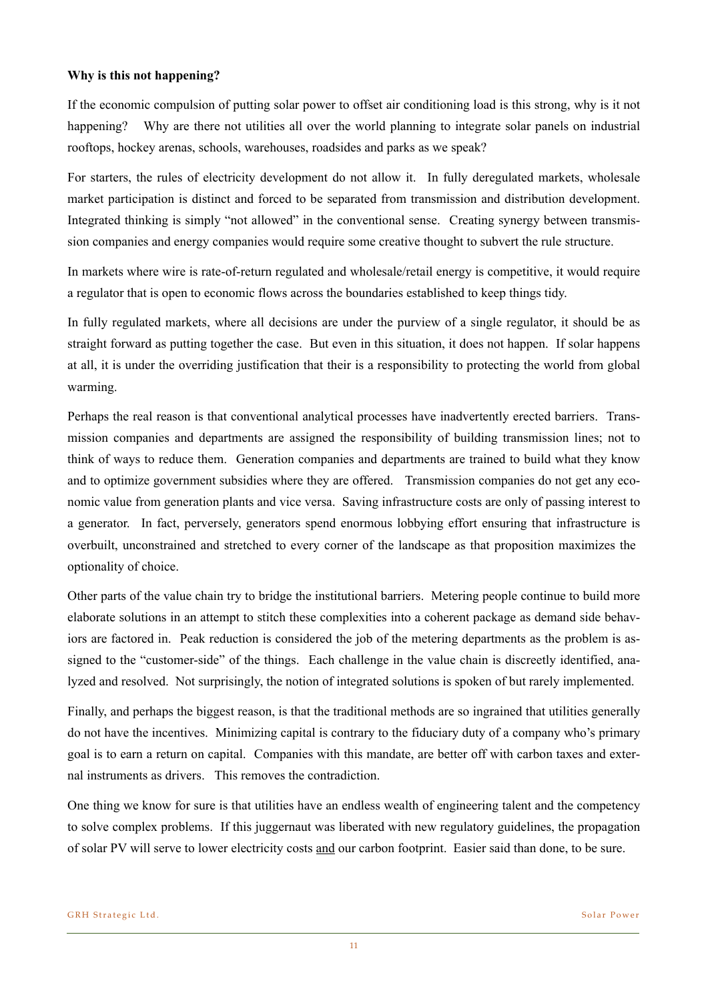## **Why is this not happening?**

If the economic compulsion of putting solar power to offset air conditioning load is this strong, why is it not happening? Why are there not utilities all over the world planning to integrate solar panels on industrial rooftops, hockey arenas, schools, warehouses, roadsides and parks as we speak?

For starters, the rules of electricity development do not allow it. In fully deregulated markets, wholesale market participation is distinct and forced to be separated from transmission and distribution development. Integrated thinking is simply "not allowed" in the conventional sense. Creating synergy between transmission companies and energy companies would require some creative thought to subvert the rule structure.

In markets where wire is rate-of-return regulated and wholesale/retail energy is competitive, it would require a regulator that is open to economic flows across the boundaries established to keep things tidy.

In fully regulated markets, where all decisions are under the purview of a single regulator, it should be as straight forward as putting together the case. But even in this situation, it does not happen. If solar happens at all, it is under the overriding justification that their is a responsibility to protecting the world from global warming.

Perhaps the real reason is that conventional analytical processes have inadvertently erected barriers. Transmission companies and departments are assigned the responsibility of building transmission lines; not to think of ways to reduce them. Generation companies and departments are trained to build what they know and to optimize government subsidies where they are offered. Transmission companies do not get any economic value from generation plants and vice versa. Saving infrastructure costs are only of passing interest to a generator. In fact, perversely, generators spend enormous lobbying effort ensuring that infrastructure is overbuilt, unconstrained and stretched to every corner of the landscape as that proposition maximizes the optionality of choice.

Other parts of the value chain try to bridge the institutional barriers. Metering people continue to build more elaborate solutions in an attempt to stitch these complexities into a coherent package as demand side behaviors are factored in. Peak reduction is considered the job of the metering departments as the problem is assigned to the "customer-side" of the things. Each challenge in the value chain is discreetly identified, analyzed and resolved. Not surprisingly, the notion of integrated solutions is spoken of but rarely implemented.

Finally, and perhaps the biggest reason, is that the traditional methods are so ingrained that utilities generally do not have the incentives. Minimizing capital is contrary to the fiduciary duty of a company who's primary goal is to earn a return on capital. Companies with this mandate, are better off with carbon taxes and external instruments as drivers. This removes the contradiction.

One thing we know for sure is that utilities have an endless wealth of engineering talent and the competency to solve complex problems. If this juggernaut was liberated with new regulatory guidelines, the propagation of solar PV will serve to lower electricity costs and our carbon footprint. Easier said than done, to be sure.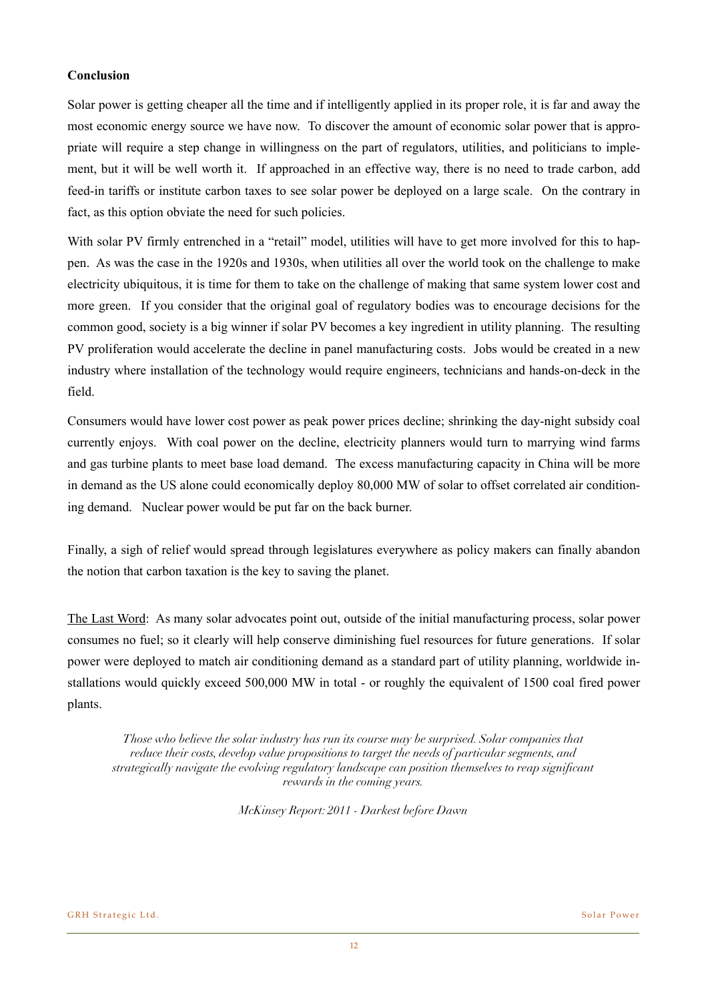## **Conclusion**

Solar power is getting cheaper all the time and if intelligently applied in its proper role, it is far and away the most economic energy source we have now. To discover the amount of economic solar power that is appropriate will require a step change in willingness on the part of regulators, utilities, and politicians to implement, but it will be well worth it. If approached in an effective way, there is no need to trade carbon, add feed-in tariffs or institute carbon taxes to see solar power be deployed on a large scale. On the contrary in fact, as this option obviate the need for such policies.

With solar PV firmly entrenched in a "retail" model, utilities will have to get more involved for this to happen. As was the case in the 1920s and 1930s, when utilities all over the world took on the challenge to make electricity ubiquitous, it is time for them to take on the challenge of making that same system lower cost and more green. If you consider that the original goal of regulatory bodies was to encourage decisions for the common good, society is a big winner if solar PV becomes a key ingredient in utility planning. The resulting PV proliferation would accelerate the decline in panel manufacturing costs. Jobs would be created in a new industry where installation of the technology would require engineers, technicians and hands-on-deck in the field.

Consumers would have lower cost power as peak power prices decline; shrinking the day-night subsidy coal currently enjoys. With coal power on the decline, electricity planners would turn to marrying wind farms and gas turbine plants to meet base load demand. The excess manufacturing capacity in China will be more in demand as the US alone could economically deploy 80,000 MW of solar to offset correlated air conditioning demand. Nuclear power would be put far on the back burner.

Finally, a sigh of relief would spread through legislatures everywhere as policy makers can finally abandon the notion that carbon taxation is the key to saving the planet.

The Last Word: As many solar advocates point out, outside of the initial manufacturing process, solar power consumes no fuel; so it clearly will help conserve diminishing fuel resources for future generations. If solar power were deployed to match air conditioning demand as a standard part of utility planning, worldwide installations would quickly exceed 500,000 MW in total - or roughly the equivalent of 1500 coal fired power plants.

*Those who believe the solar industry has run its course may be surprised. Solar companies that reduce their costs, develop value propositions to target the needs of particular segments, and strategically navigate the evolving regulatory landscape can position themselves to reap significant rewards in the coming years.*

*McKinsey Report: 2011 - Darkest before Dawn*